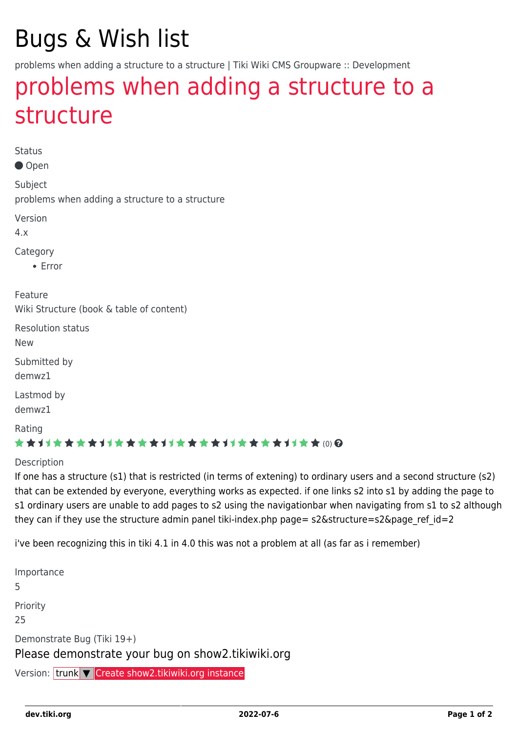# Bugs & Wish list

problems when adding a structure to a structure | Tiki Wiki CMS Groupware :: Development

## [problems when adding a structure to a](https://dev.tiki.org/item2955-problems-when-adding-a-structure-to-a-structure) [structure](https://dev.tiki.org/item2955-problems-when-adding-a-structure-to-a-structure)

Status

Open

Subject problems when adding a structure to a structure

Version

4.x

Category

• Error

Feature Wiki Structure (book & table of content)

Resolution status

New

Submitted by demwz1

Lastmod by

demwz1

Rating

#### \*\*\*\*\*\*\*\*\*\*\*\*\*\*\*\*\*\*\*\*\*\*\*\*\*\*\*\*\*\*

#### **Description**

If one has a structure (s1) that is restricted (in terms of extening) to ordinary users and a second structure (s2) that can be extended by everyone, everything works as expected. if one links s2 into s1 by adding the page to s1 ordinary users are unable to add pages to s2 using the navigationbar when navigating from s1 to s2 although they can if they use the structure admin panel tiki-index.php page=  $s2\&$ structure= $s2\&$ page ref id=2

i've been recognizing this in tiki 4.1 in 4.0 this was not a problem at all (as far as i remember)

Importance 5 Priority 25 Demonstrate Bug (Tiki 19+) Please demonstrate your bug on show2.tikiwiki.org Version: trunk ▼ [Create show2.tikiwiki.org instance](#page--1-0)